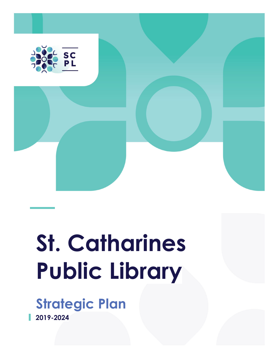

# **St. Catharines Public Library**

**Strategic Plan**

**2019-2024**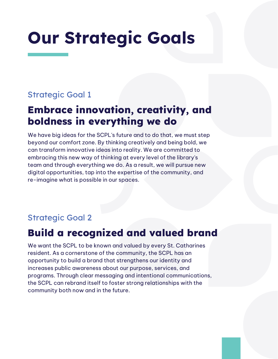## **Our Strategic Goals**

### Strategic Goal 1

### **Embrace innovation, creativity, and boldness in everything we do**

We have big ideas for the SCPL's future and to do that, we must step beyond our comfort zone. By thinking creatively and being bold, we can transform innovative ideas into reality. We are committed to embracing this new way of thinking at every level of the library's team and through everything we do. As a result, we will pursue new digital opportunities, tap into the expertise of the community, and re-imagine what is possible in our spaces.

#### Strategic Goal 2

### **Build a recognized and valued brand**

We want the SCPL to be known and valued by every St. Catharines resident. As a cornerstone of the community, the SCPL has an opportunity to build a brand that strengthens our identity and increases public awareness about our purpose, services, and programs. Through clear messaging and intentional communications, the SCPL can rebrand itself to foster strong relationships with the community both now and in the future.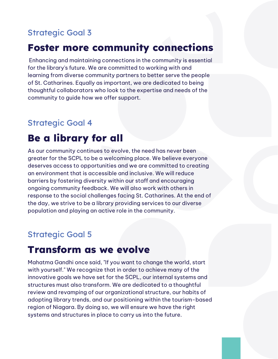### Strategic Goal 3

### **Foster more community connections**

Enhancing and maintaining connections in the community is essential for the library's future. We are committed to working with and learning from diverse community partners to better serve the people of St. Catharines. Equally as important, we are dedicated to being thoughtful collaborators who look to the expertise and needs of the community to guide how we offer support.

#### Strategic Goal 4

### **Be a library for all**

As our community continues to evolve, the need has never been greater for the SCPL to be a welcoming place. We believe everyone deserves access to opportunities and we are committed to creating an environment that is accessible and inclusive. We will reduce barriers by fostering diversity within our staff and encouraging ongoing community feedback. We will also work with others in response to the social challenges facing St. Catharines. At the end of the day, we strive to be a library providing services to our diverse population and playing an active role in the community.

#### Strategic Goal 5

### **Transform as we evolve**

Mahatma Gandhi once said, "If you want to change the world, start with yourself." We recognize that in order to achieve many of the innovative goals we have set for the SCPL, our internal systems and structures must also transform. We are dedicated to a thoughtful review and revamping of our organizational structure, our habits of adopting library trends, and our positioning within the tourism-based region of Niagara. By doing so, we will ensure we have the right systems and structures in place to carry us into the future.